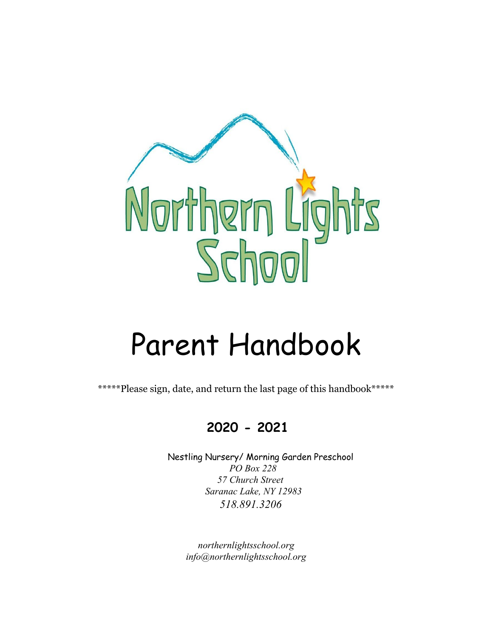

# Parent Handbook

\*\*\*\*\*Please sign, date, and return the last page of this handbook\*\*\*\*\*

## **2020 - 2021**

Nestling Nursery/ Morning Garden Preschool  *PO Box 228 57 Church Street Saranac Lake, NY 12983 518.891.3206*

*northernlightsschool.org info@northernlightsschool.org*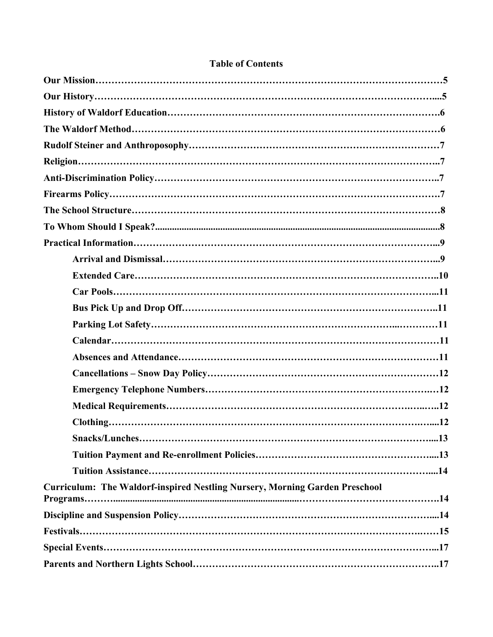| <b>Curriculum: The Waldorf-inspired Nestling Nursery, Morning Garden Preschool</b> |
|------------------------------------------------------------------------------------|
|                                                                                    |
|                                                                                    |
|                                                                                    |
|                                                                                    |

## **Table of Contents**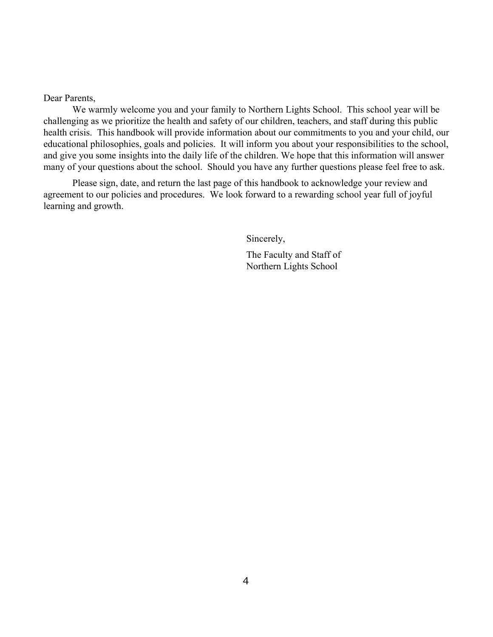Dear Parents,

We warmly welcome you and your family to Northern Lights School. This school year will be challenging as we prioritize the health and safety of our children, teachers, and staff during this public health crisis. This handbook will provide information about our commitments to you and your child, our educational philosophies, goals and policies. It will inform you about your responsibilities to the school, and give you some insights into the daily life of the children. We hope that this information will answer many of your questions about the school. Should you have any further questions please feel free to ask.

Please sign, date, and return the last page of this handbook to acknowledge your review and agreement to our policies and procedures. We look forward to a rewarding school year full of joyful learning and growth.

Sincerely,

The Faculty and Staff of Northern Lights School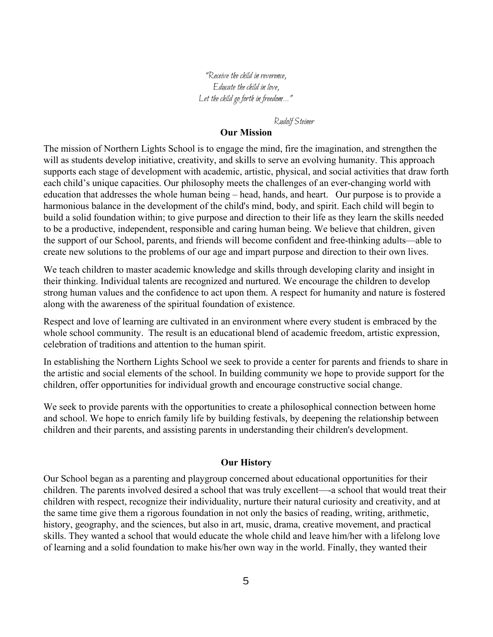"Receive the child in reverence, Educate the child in love, Let the child go forth in freedom…"

Rudolf Steiner

## **Our Mission**

The mission of Northern Lights School is to engage the mind, fire the imagination, and strengthen the will as students develop initiative, creativity, and skills to serve an evolving humanity. This approach supports each stage of development with academic, artistic, physical, and social activities that draw forth each child's unique capacities. Our philosophy meets the challenges of an ever-changing world with education that addresses the whole human being – head, hands, and heart. Our purpose is to provide a harmonious balance in the development of the child's mind, body, and spirit. Each child will begin to build a solid foundation within; to give purpose and direction to their life as they learn the skills needed to be a productive, independent, responsible and caring human being. We believe that children, given the support of our School, parents, and friends will become confident and free-thinking adults—able to create new solutions to the problems of our age and impart purpose and direction to their own lives.

We teach children to master academic knowledge and skills through developing clarity and insight in their thinking. Individual talents are recognized and nurtured. We encourage the children to develop strong human values and the confidence to act upon them. A respect for humanity and nature is fostered along with the awareness of the spiritual foundation of existence.

Respect and love of learning are cultivated in an environment where every student is embraced by the whole school community. The result is an educational blend of academic freedom, artistic expression, celebration of traditions and attention to the human spirit.

In establishing the Northern Lights School we seek to provide a center for parents and friends to share in the artistic and social elements of the school. In building community we hope to provide support for the children, offer opportunities for individual growth and encourage constructive social change.

We seek to provide parents with the opportunities to create a philosophical connection between home and school. We hope to enrich family life by building festivals, by deepening the relationship between children and their parents, and assisting parents in understanding their children's development.

## **Our History**

Our School began as a parenting and playgroup concerned about educational opportunities for their children. The parents involved desired a school that was truly excellent—-a school that would treat their children with respect, recognize their individuality, nurture their natural curiosity and creativity, and at the same time give them a rigorous foundation in not only the basics of reading, writing, arithmetic, history, geography, and the sciences, but also in art, music, drama, creative movement, and practical skills. They wanted a school that would educate the whole child and leave him/her with a lifelong love of learning and a solid foundation to make his/her own way in the world. Finally, they wanted their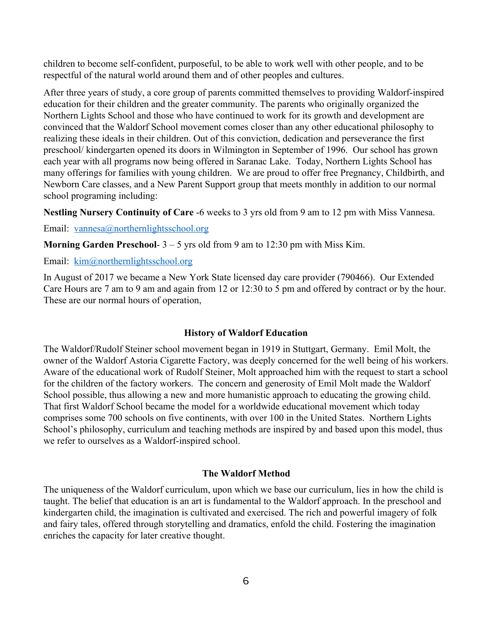children to become self-confident, purposeful, to be able to work well with other people, and to be respectful of the natural world around them and of other peoples and cultures.

After three years of study, a core group of parents committed themselves to providing Waldorf-inspired education for their children and the greater community. The parents who originally organized the Northern Lights School and those who have continued to work for its growth and development are convinced that the Waldorf School movement comes closer than any other educational philosophy to realizing these ideals in their children. Out of this conviction, dedication and perseverance the first preschool/ kindergarten opened its doors in Wilmington in September of 1996. Our school has grown each year with all programs now being offered in Saranac Lake. Today, Northern Lights School has many offerings for families with young children. We are proud to offer free Pregnancy, Childbirth, and Newborn Care classes, and a New Parent Support group that meets monthly in addition to our normal school programing including:

**Nestling Nursery Continuity of Care** -6 weeks to 3 yrs old from 9 am to 12 pm with Miss Vannesa.

Email: [vannesa@northernlightsschool.org](mailto:vannesa@northernlightsschool.org)

**Morning Garden Preschool**- 3 – 5 yrs old from 9 am to 12:30 pm with Miss Kim.

Email: [kim@northernlightsschool.org](mailto:kim@northernlightsschool.org)

In August of 2017 we became a New York State licensed day care provider (790466). Our Extended Care Hours are 7 am to 9 am and again from 12 or 12:30 to 5 pm and offered by contract or by the hour. These are our normal hours of operation,

## **History of Waldorf Education**

The Waldorf/Rudolf Steiner school movement began in 1919 in Stuttgart, Germany. Emil Molt, the owner of the Waldorf Astoria Cigarette Factory, was deeply concerned for the well being of his workers. Aware of the educational work of Rudolf Steiner, Molt approached him with the request to start a school for the children of the factory workers. The concern and generosity of Emil Molt made the Waldorf School possible, thus allowing a new and more humanistic approach to educating the growing child. That first Waldorf School became the model for a worldwide educational movement which today comprises some 700 schools on five continents, with over 100 in the United States. Northern Lights School's philosophy, curriculum and teaching methods are inspired by and based upon this model, thus we refer to ourselves as a Waldorf-inspired school.

## **The Waldorf Method**

The uniqueness of the Waldorf curriculum, upon which we base our curriculum, lies in how the child is taught. The belief that education is an art is fundamental to the Waldorf approach. In the preschool and kindergarten child, the imagination is cultivated and exercised. The rich and powerful imagery of folk and fairy tales, offered through storytelling and dramatics, enfold the child. Fostering the imagination enriches the capacity for later creative thought.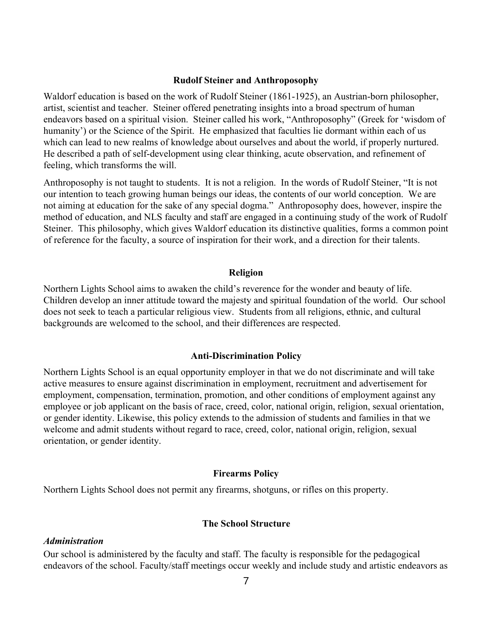#### **Rudolf Steiner and Anthroposophy**

Waldorf education is based on the work of Rudolf Steiner (1861-1925), an Austrian-born philosopher, artist, scientist and teacher. Steiner offered penetrating insights into a broad spectrum of human endeavors based on a spiritual vision. Steiner called his work, "Anthroposophy" (Greek for 'wisdom of humanity') or the Science of the Spirit. He emphasized that faculties lie dormant within each of us which can lead to new realms of knowledge about ourselves and about the world, if properly nurtured. He described a path of self-development using clear thinking, acute observation, and refinement of feeling, which transforms the will.

Anthroposophy is not taught to students. It is not a religion. In the words of Rudolf Steiner, "It is not our intention to teach growing human beings our ideas, the contents of our world conception. We are not aiming at education for the sake of any special dogma." Anthroposophy does, however, inspire the method of education, and NLS faculty and staff are engaged in a continuing study of the work of Rudolf Steiner. This philosophy, which gives Waldorf education its distinctive qualities, forms a common point of reference for the faculty, a source of inspiration for their work, and a direction for their talents.

#### **Religion**

Northern Lights School aims to awaken the child's reverence for the wonder and beauty of life. Children develop an inner attitude toward the majesty and spiritual foundation of the world. Our school does not seek to teach a particular religious view. Students from all religions, ethnic, and cultural backgrounds are welcomed to the school, and their differences are respected.

#### **Anti-Discrimination Policy**

Northern Lights School is an equal opportunity employer in that we do not discriminate and will take active measures to ensure against discrimination in employment, recruitment and advertisement for employment, compensation, termination, promotion, and other conditions of employment against any employee or job applicant on the basis of race, creed, color, national origin, religion, sexual orientation, or gender identity. Likewise, this policy extends to the admission of students and families in that we welcome and admit students without regard to race, creed, color, national origin, religion, sexual orientation, or gender identity.

## **Firearms Policy**

Northern Lights School does not permit any firearms, shotguns, or rifles on this property.

## **The School Structure**

## *Administration*

Our school is administered by the faculty and staff. The faculty is responsible for the pedagogical endeavors of the school. Faculty/staff meetings occur weekly and include study and artistic endeavors as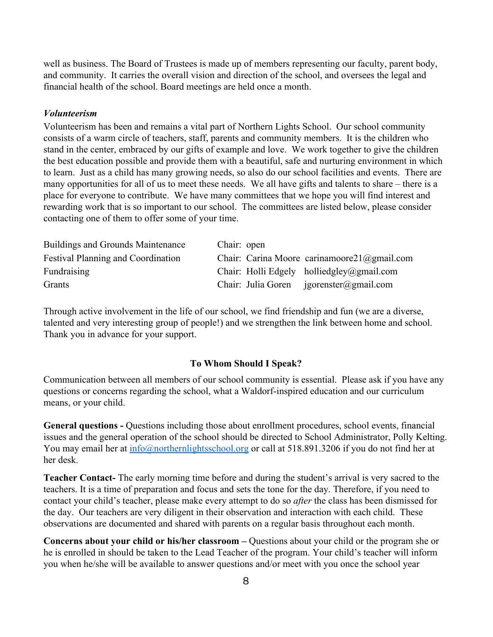well as business. The Board of Trustees is made up of members representing our faculty, parent body, and community. It carries the overall vision and direction of the school, and oversees the legal and financial health of the school. Board meetings are held once a month.

#### *Volunteerism*

Volunteerism has been and remains a vital part of Northern Lights School. Our school community consists of a warm circle of teachers, staff, parents and community members. It is the children who stand in the center, embraced by our gifts of example and love. We work together to give the children the best education possible and provide them with a beautiful, safe and nurturing environment in which to learn. Just as a child has many growing needs, so also do our school facilities and events. There are many opportunities for all of us to meet these needs. We all have gifts and talents to share – there is a place for everyone to contribute. We have many committees that we hope you will find interest and rewarding work that is so important to our school. The committees are listed below, please consider contacting one of them to offer some of your time.

| <b>Buildings and Grounds Maintenance</b>  | Chair: open |                                             |
|-------------------------------------------|-------------|---------------------------------------------|
| <b>Festival Planning and Coordination</b> |             | Chair: Carina Moore carinamoore21@gmail.com |
| Fundraising                               |             | Chair: Holli Edgely holliedgley@gmail.com   |
| Grants                                    |             | Chair: Julia Goren igorenster@gmail.com     |

Through active involvement in the life of our school, we find friendship and fun (we are a diverse, talented and very interesting group of people!) and we strengthen the link between home and school. Thank you in advance for your support.

## **To Whom Should I Speak?**

Communication between all members of our school community is essential. Please ask if you have any questions or concerns regarding the school, what a Waldorf-inspired education and our curriculum means, or your child.

**General questions -** Questions including those about enrollment procedures, school events, financial issues and the general operation of the school should be directed to School Administrator, Polly Kelting. You may email her at  $\inf_{\Omega}$  northernlightsschool.org or call at 518.891.3206 if you do not find her at her desk.

**Teacher Contact-** The early morning time before and during the student's arrival is very sacred to the teachers. It is a time of preparation and focus and sets the tone for the day. Therefore, if you need to contact your child's teacher, please make every attempt to do so *after* the class has been dismissed for the day. Our teachers are very diligent in their observation and interaction with each child. These observations are documented and shared with parents on a regular basis throughout each month.

**Concerns about your child or his/her classroom –** Questions about your child or the program she or he is enrolled in should be taken to the Lead Teacher of the program. Your child's teacher will inform you when he/she will be available to answer questions and/or meet with you once the school year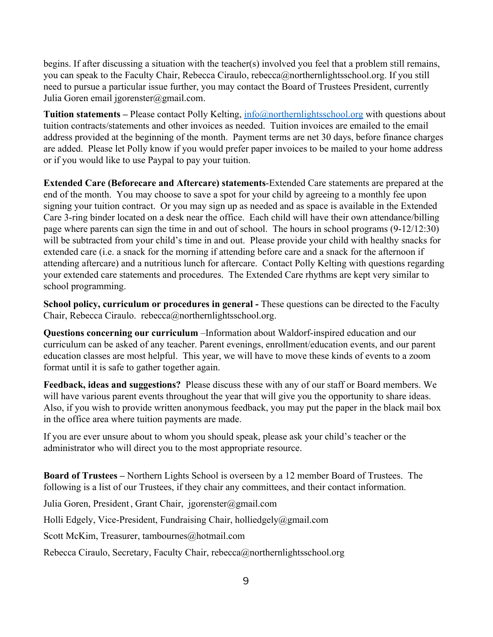begins. If after discussing a situation with the teacher(s) involved you feel that a problem still remains, you can speak to the Faculty Chair, Rebecca Ciraulo, rebecca@northernlightsschool.org. If you still need to pursue a particular issue further, you may contact the Board of Trustees President, currently Julia Goren email jgorenster@gmail.com.

**Tuition statements** – Please contact Polly Kelting,  $\frac{info(@northernlightsschool.org)}{info(@notformlightsschool.org)}$  with questions about tuition contracts/statements and other invoices as needed. Tuition invoices are emailed to the email address provided at the beginning of the month. Payment terms are net 30 days, before finance charges are added. Please let Polly know if you would prefer paper invoices to be mailed to your home address or if you would like to use Paypal to pay your tuition.

**Extended Care (Beforecare and Aftercare) statements**-Extended Care statements are prepared at the end of the month. You may choose to save a spot for your child by agreeing to a monthly fee upon signing your tuition contract. Or you may sign up as needed and as space is available in the Extended Care 3-ring binder located on a desk near the office. Each child will have their own attendance/billing page where parents can sign the time in and out of school. The hours in school programs (9-12/12:30) will be subtracted from your child's time in and out. Please provide your child with healthy snacks for extended care (i.e. a snack for the morning if attending before care and a snack for the afternoon if attending aftercare) and a nutritious lunch for aftercare. Contact Polly Kelting with questions regarding your extended care statements and procedures. The Extended Care rhythms are kept very similar to school programming.

**School policy, curriculum or procedures in general -** These questions can be directed to the Faculty Chair, Rebecca Ciraulo. rebecca@northernlightsschool.org.

**Questions concerning our curriculum** –Information about Waldorf-inspired education and our curriculum can be asked of any teacher. Parent evenings, enrollment/education events, and our parent education classes are most helpful. This year, we will have to move these kinds of events to a zoom format until it is safe to gather together again.

**Feedback, ideas and suggestions?** Please discuss these with any of our staff or Board members. We will have various parent events throughout the year that will give you the opportunity to share ideas. Also, if you wish to provide written anonymous feedback, you may put the paper in the black mail box in the office area where tuition payments are made.

If you are ever unsure about to whom you should speak, please ask your child's teacher or the administrator who will direct you to the most appropriate resource.

**Board of Trustees –** Northern Lights School is overseen by a 12 member Board of Trustees. The following is a list of our Trustees, if they chair any committees, and their contact information.

Julia Goren, President , Grant Chair, jgorenster@gmail.com

Holli Edgely, Vice-President, Fundraising Chair, holliedgely@gmail.com

Scott McKim, Treasurer, tambournes@hotmail.com

Rebecca Ciraulo, Secretary, Faculty Chair, rebecca@northernlightsschool.org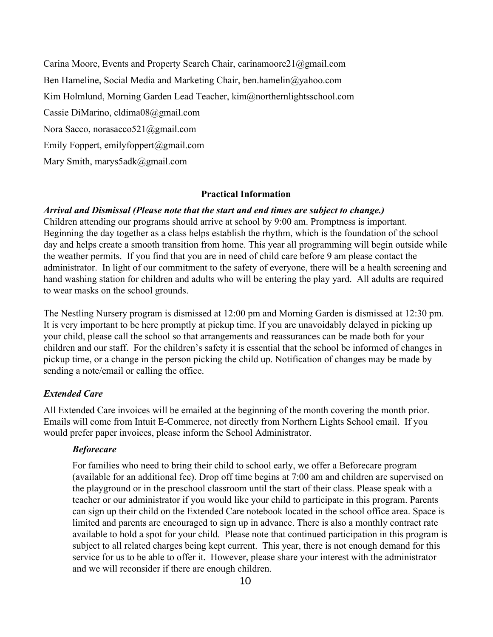Carina Moore, Events and Property Search Chair, carinamoore21@gmail.com Ben Hameline, Social Media and Marketing Chair, ben.hamelin@yahoo.com Kim Holmlund, Morning Garden Lead Teacher, kim@northernlightsschool.com Cassie DiMarino, cldima08@gmail.com Nora Sacco, norasacco521@gmail.com Emily Foppert, emilyfoppert@gmail.com Mary Smith, marys5adk@gmail.com

## **Practical Information**

#### *Arrival and Dismissal (Please note that the start and end times are subject to change.)*

Children attending our programs should arrive at school by 9:00 am. Promptness is important. Beginning the day together as a class helps establish the rhythm, which is the foundation of the school day and helps create a smooth transition from home. This year all programming will begin outside while the weather permits. If you find that you are in need of child care before 9 am please contact the administrator. In light of our commitment to the safety of everyone, there will be a health screening and hand washing station for children and adults who will be entering the play yard. All adults are required to wear masks on the school grounds.

The Nestling Nursery program is dismissed at 12:00 pm and Morning Garden is dismissed at 12:30 pm. It is very important to be here promptly at pickup time. If you are unavoidably delayed in picking up your child, please call the school so that arrangements and reassurances can be made both for your children and our staff. For the children's safety it is essential that the school be informed of changes in pickup time, or a change in the person picking the child up. Notification of changes may be made by sending a note/email or calling the office.

## *Extended Care*

All Extended Care invoices will be emailed at the beginning of the month covering the month prior. Emails will come from Intuit E-Commerce, not directly from Northern Lights School email. If you would prefer paper invoices, please inform the School Administrator.

## *Beforecare*

For families who need to bring their child to school early, we offer a Beforecare program (available for an additional fee). Drop off time begins at 7:00 am and children are supervised on the playground or in the preschool classroom until the start of their class. Please speak with a teacher or our administrator if you would like your child to participate in this program. Parents can sign up their child on the Extended Care notebook located in the school office area. Space is limited and parents are encouraged to sign up in advance. There is also a monthly contract rate available to hold a spot for your child. Please note that continued participation in this program is subject to all related charges being kept current. This year, there is not enough demand for this service for us to be able to offer it. However, please share your interest with the administrator and we will reconsider if there are enough children.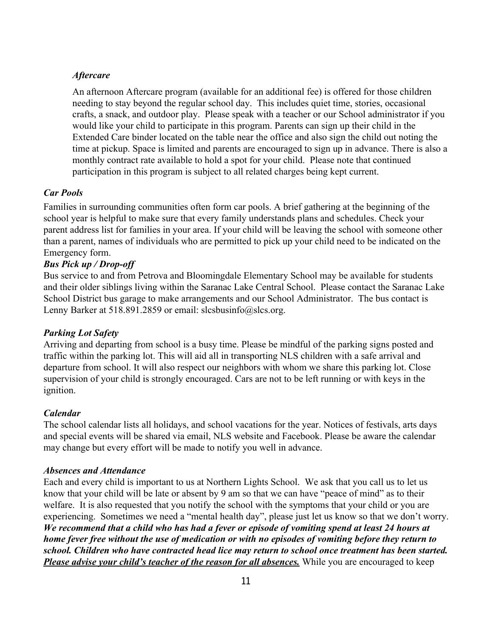## *Aftercare*

An afternoon Aftercare program (available for an additional fee) is offered for those children needing to stay beyond the regular school day. This includes quiet time, stories, occasional crafts, a snack, and outdoor play. Please speak with a teacher or our School administrator if you would like your child to participate in this program. Parents can sign up their child in the Extended Care binder located on the table near the office and also sign the child out noting the time at pickup. Space is limited and parents are encouraged to sign up in advance. There is also a monthly contract rate available to hold a spot for your child. Please note that continued participation in this program is subject to all related charges being kept current.

## *Car Pools*

Families in surrounding communities often form car pools. A brief gathering at the beginning of the school year is helpful to make sure that every family understands plans and schedules. Check your parent address list for families in your area. If your child will be leaving the school with someone other than a parent, names of individuals who are permitted to pick up your child need to be indicated on the Emergency form.

## *Bus Pick up / Drop-off*

Bus service to and from Petrova and Bloomingdale Elementary School may be available for students and their older siblings living within the Saranac Lake Central School. Please contact the Saranac Lake School District bus garage to make arrangements and our School Administrator. The bus contact is Lenny Barker at 518.891.2859 or email: slcsbusinfo@slcs.org.

## *Parking Lot Safety*

Arriving and departing from school is a busy time. Please be mindful of the parking signs posted and traffic within the parking lot. This will aid all in transporting NLS children with a safe arrival and departure from school. It will also respect our neighbors with whom we share this parking lot. Close supervision of your child is strongly encouraged. Cars are not to be left running or with keys in the ignition.

## *Calendar*

The school calendar lists all holidays, and school vacations for the year. Notices of festivals, arts days and special events will be shared via email, NLS website and Facebook. Please be aware the calendar may change but every effort will be made to notify you well in advance.

## *Absences and Attendance*

Each and every child is important to us at Northern Lights School. We ask that you call us to let us know that your child will be late or absent by 9 am so that we can have "peace of mind" as to their welfare. It is also requested that you notify the school with the symptoms that your child or you are experiencing. Sometimes we need a "mental health day", please just let us know so that we don't worry. *We recommend that a child who has had a fever or episode of vomiting spend at least 24 hours at home fever free without the use of medication or with no episodes of vomiting before they return to school. Children who have contracted head lice may return to school once treatment has been started. Please advise your child's teacher of the reason for all absences.* While you are encouraged to keep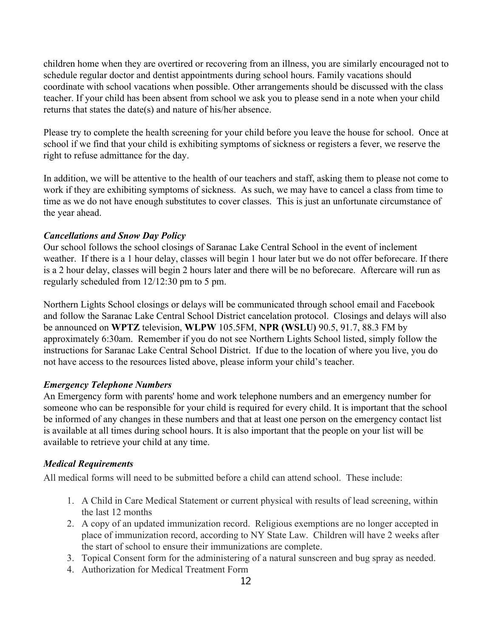children home when they are overtired or recovering from an illness, you are similarly encouraged not to schedule regular doctor and dentist appointments during school hours. Family vacations should coordinate with school vacations when possible. Other arrangements should be discussed with the class teacher. If your child has been absent from school we ask you to please send in a note when your child returns that states the date(s) and nature of his/her absence.

Please try to complete the health screening for your child before you leave the house for school. Once at school if we find that your child is exhibiting symptoms of sickness or registers a fever, we reserve the right to refuse admittance for the day.

In addition, we will be attentive to the health of our teachers and staff, asking them to please not come to work if they are exhibiting symptoms of sickness. As such, we may have to cancel a class from time to time as we do not have enough substitutes to cover classes. This is just an unfortunate circumstance of the year ahead.

## *Cancellations and Snow Day Policy*

Our school follows the school closings of Saranac Lake Central School in the event of inclement weather. If there is a 1 hour delay, classes will begin 1 hour later but we do not offer beforecare. If there is a 2 hour delay, classes will begin 2 hours later and there will be no beforecare. Aftercare will run as regularly scheduled from 12/12:30 pm to 5 pm.

Northern Lights School closings or delays will be communicated through school email and Facebook and follow the Saranac Lake Central School District cancelation protocol. Closings and delays will also be announced on **WPTZ** television, **WLPW** 105.5FM, **NPR (WSLU)** 90.5, 91.7, 88.3 FM by approximately 6:30am. Remember if you do not see Northern Lights School listed, simply follow the instructions for Saranac Lake Central School District. If due to the location of where you live, you do not have access to the resources listed above, please inform your child's teacher.

## *Emergency Telephone Numbers*

An Emergency form with parents' home and work telephone numbers and an emergency number for someone who can be responsible for your child is required for every child. It is important that the school be informed of any changes in these numbers and that at least one person on the emergency contact list is available at all times during school hours. It is also important that the people on your list will be available to retrieve your child at any time.

## *Medical Requirements*

All medical forms will need to be submitted before a child can attend school. These include:

- 1. A Child in Care Medical Statement or current physical with results of lead screening, within the last 12 months
- 2. A copy of an updated immunization record. Religious exemptions are no longer accepted in place of immunization record, according to NY State Law. Children will have 2 weeks after the start of school to ensure their immunizations are complete.
- 3. Topical Consent form for the administering of a natural sunscreen and bug spray as needed.
- 4. Authorization for Medical Treatment Form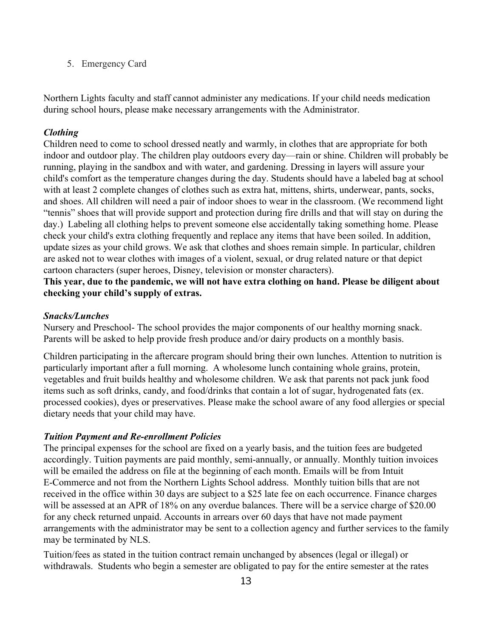5. Emergency Card

Northern Lights faculty and staff cannot administer any medications. If your child needs medication during school hours, please make necessary arrangements with the Administrator.

## *Clothing*

Children need to come to school dressed neatly and warmly, in clothes that are appropriate for both indoor and outdoor play. The children play outdoors every day—rain or shine. Children will probably be running, playing in the sandbox and with water, and gardening. Dressing in layers will assure your child's comfort as the temperature changes during the day. Students should have a labeled bag at school with at least 2 complete changes of clothes such as extra hat, mittens, shirts, underwear, pants, socks, and shoes. All children will need a pair of indoor shoes to wear in the classroom. (We recommend light "tennis" shoes that will provide support and protection during fire drills and that will stay on during the day.) Labeling all clothing helps to prevent someone else accidentally taking something home. Please check your child's extra clothing frequently and replace any items that have been soiled. In addition, update sizes as your child grows. We ask that clothes and shoes remain simple. In particular, children are asked not to wear clothes with images of a violent, sexual, or drug related nature or that depict cartoon characters (super heroes, Disney, television or monster characters).

**This year, due to the pandemic, we will not have extra clothing on hand. Please be diligent about checking your child's supply of extras.**

## *Snacks/Lunches*

Nursery and Preschool- The school provides the major components of our healthy morning snack. Parents will be asked to help provide fresh produce and/or dairy products on a monthly basis.

Children participating in the aftercare program should bring their own lunches. Attention to nutrition is particularly important after a full morning. A wholesome lunch containing whole grains, protein, vegetables and fruit builds healthy and wholesome children. We ask that parents not pack junk food items such as soft drinks, candy, and food/drinks that contain a lot of sugar, hydrogenated fats (ex. processed cookies), dyes or preservatives. Please make the school aware of any food allergies or special dietary needs that your child may have.

## *Tuition Payment and Re-enrollment Policies*

The principal expenses for the school are fixed on a yearly basis, and the tuition fees are budgeted accordingly. Tuition payments are paid monthly, semi-annually, or annually. Monthly tuition invoices will be emailed the address on file at the beginning of each month. Emails will be from Intuit E-Commerce and not from the Northern Lights School address. Monthly tuition bills that are not received in the office within 30 days are subject to a \$25 late fee on each occurrence. Finance charges will be assessed at an APR of 18% on any overdue balances. There will be a service charge of \$20.00 for any check returned unpaid. Accounts in arrears over 60 days that have not made payment arrangements with the administrator may be sent to a collection agency and further services to the family may be terminated by NLS.

Tuition/fees as stated in the tuition contract remain unchanged by absences (legal or illegal) or withdrawals. Students who begin a semester are obligated to pay for the entire semester at the rates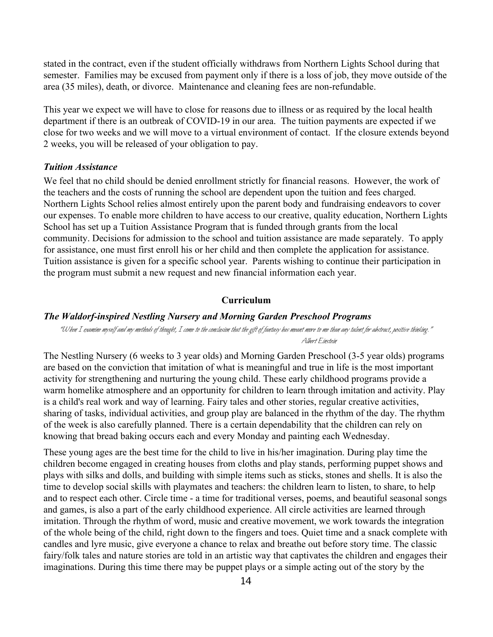stated in the contract, even if the student officially withdraws from Northern Lights School during that semester. Families may be excused from payment only if there is a loss of job, they move outside of the area (35 miles), death, or divorce. Maintenance and cleaning fees are non-refundable.

This year we expect we will have to close for reasons due to illness or as required by the local health department if there is an outbreak of COVID-19 in our area. The tuition payments are expected if we close for two weeks and we will move to a virtual environment of contact. If the closure extends beyond 2 weeks, you will be released of your obligation to pay.

## *Tuition Assistance*

We feel that no child should be denied enrollment strictly for financial reasons. However, the work of the teachers and the costs of running the school are dependent upon the tuition and fees charged. Northern Lights School relies almost entirely upon the parent body and fundraising endeavors to cover our expenses. To enable more children to have access to our creative, quality education, Northern Lights School has set up a Tuition Assistance Program that is funded through grants from the local community. Decisions for admission to the school and tuition assistance are made separately. To apply for assistance, one must first enroll his or her child and then complete the application for assistance. Tuition assistance is given for a specific school year. Parents wishing to continue their participation in the program must submit a new request and new financial information each year.

#### **Curriculum**

#### *The Waldorf-inspired Nestling Nursery and Morning Garden Preschool Programs*

"When <sup>I</sup> examine myself and my methods of thought, <sup>I</sup> come to the conclusion that the gift of fantasy has meant more to me than any talent for abstract, positive thinking." Albert Einstein

The Nestling Nursery (6 weeks to 3 year olds) and Morning Garden Preschool (3-5 year olds) programs are based on the conviction that imitation of what is meaningful and true in life is the most important activity for strengthening and nurturing the young child. These early childhood programs provide a warm homelike atmosphere and an opportunity for children to learn through imitation and activity. Play is a child's real work and way of learning. Fairy tales and other stories, regular creative activities, sharing of tasks, individual activities, and group play are balanced in the rhythm of the day. The rhythm of the week is also carefully planned. There is a certain dependability that the children can rely on knowing that bread baking occurs each and every Monday and painting each Wednesday.

These young ages are the best time for the child to live in his/her imagination. During play time the children become engaged in creating houses from cloths and play stands, performing puppet shows and plays with silks and dolls, and building with simple items such as sticks, stones and shells. It is also the time to develop social skills with playmates and teachers: the children learn to listen, to share, to help and to respect each other. Circle time - a time for traditional verses, poems, and beautiful seasonal songs and games, is also a part of the early childhood experience. All circle activities are learned through imitation. Through the rhythm of word, music and creative movement, we work towards the integration of the whole being of the child, right down to the fingers and toes. Quiet time and a snack complete with candles and lyre music, give everyone a chance to relax and breathe out before story time. The classic fairy/folk tales and nature stories are told in an artistic way that captivates the children and engages their imaginations. During this time there may be puppet plays or a simple acting out of the story by the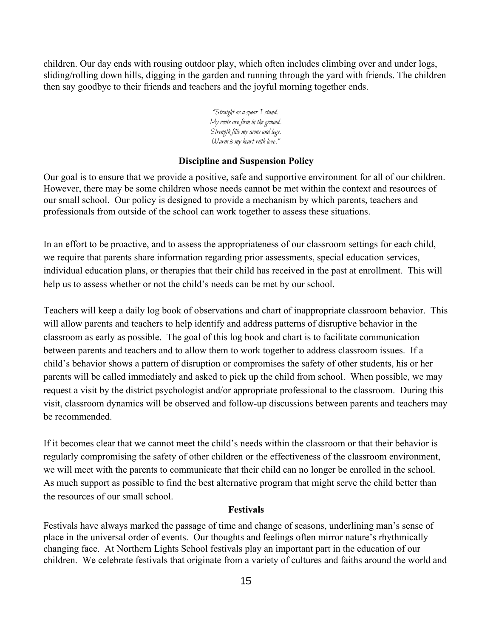children. Our day ends with rousing outdoor play, which often includes climbing over and under logs, sliding/rolling down hills, digging in the garden and running through the yard with friends. The children then say goodbye to their friends and teachers and the joyful morning together ends.

"Straight as a spear I stand. My roots are firm in the ground. Strength fills my arms and legs. Warm is my heart with love."

## **Discipline and Suspension Policy**

Our goal is to ensure that we provide a positive, safe and supportive environment for all of our children. However, there may be some children whose needs cannot be met within the context and resources of our small school. Our policy is designed to provide a mechanism by which parents, teachers and professionals from outside of the school can work together to assess these situations.

In an effort to be proactive, and to assess the appropriateness of our classroom settings for each child, we require that parents share information regarding prior assessments, special education services, individual education plans, or therapies that their child has received in the past at enrollment. This will help us to assess whether or not the child's needs can be met by our school.

Teachers will keep a daily log book of observations and chart of inappropriate classroom behavior. This will allow parents and teachers to help identify and address patterns of disruptive behavior in the classroom as early as possible. The goal of this log book and chart is to facilitate communication between parents and teachers and to allow them to work together to address classroom issues. If a child's behavior shows a pattern of disruption or compromises the safety of other students, his or her parents will be called immediately and asked to pick up the child from school. When possible, we may request a visit by the district psychologist and/or appropriate professional to the classroom. During this visit, classroom dynamics will be observed and follow-up discussions between parents and teachers may be recommended.

If it becomes clear that we cannot meet the child's needs within the classroom or that their behavior is regularly compromising the safety of other children or the effectiveness of the classroom environment, we will meet with the parents to communicate that their child can no longer be enrolled in the school. As much support as possible to find the best alternative program that might serve the child better than the resources of our small school.

## **Festivals**

Festivals have always marked the passage of time and change of seasons, underlining man's sense of place in the universal order of events. Our thoughts and feelings often mirror nature's rhythmically changing face. At Northern Lights School festivals play an important part in the education of our children. We celebrate festivals that originate from a variety of cultures and faiths around the world and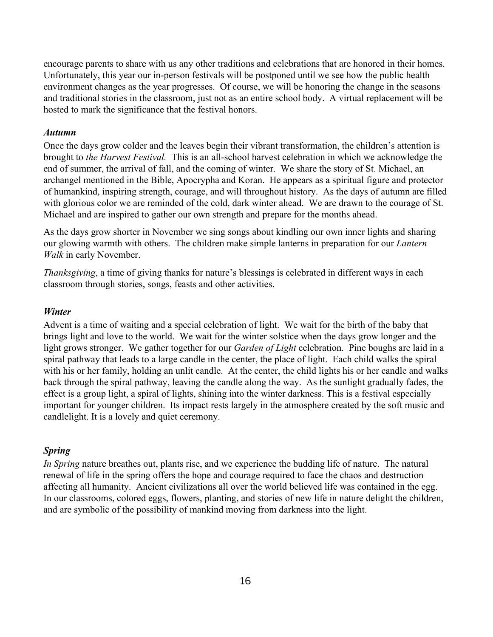encourage parents to share with us any other traditions and celebrations that are honored in their homes. Unfortunately, this year our in-person festivals will be postponed until we see how the public health environment changes as the year progresses. Of course, we will be honoring the change in the seasons and traditional stories in the classroom, just not as an entire school body. A virtual replacement will be hosted to mark the significance that the festival honors.

## *Autumn*

Once the days grow colder and the leaves begin their vibrant transformation, the children's attention is brought to *the Harvest Festival.* This is an all-school harvest celebration in which we acknowledge the end of summer, the arrival of fall, and the coming of winter. We share the story of St. Michael, an archangel mentioned in the Bible, Apocrypha and Koran. He appears as a spiritual figure and protector of humankind, inspiring strength, courage, and will throughout history. As the days of autumn are filled with glorious color we are reminded of the cold, dark winter ahead. We are drawn to the courage of St. Michael and are inspired to gather our own strength and prepare for the months ahead.

As the days grow shorter in November we sing songs about kindling our own inner lights and sharing our glowing warmth with others. The children make simple lanterns in preparation for our *Lantern Walk* in early November.

*Thanksgiving*, a time of giving thanks for nature's blessings is celebrated in different ways in each classroom through stories, songs, feasts and other activities.

## *Winter*

Advent is a time of waiting and a special celebration of light. We wait for the birth of the baby that brings light and love to the world. We wait for the winter solstice when the days grow longer and the light grows stronger. We gather together for our *Garden of Light* celebration. Pine boughs are laid in a spiral pathway that leads to a large candle in the center, the place of light. Each child walks the spiral with his or her family, holding an unlit candle. At the center, the child lights his or her candle and walks back through the spiral pathway, leaving the candle along the way. As the sunlight gradually fades, the effect is a group light, a spiral of lights, shining into the winter darkness. This is a festival especially important for younger children. Its impact rests largely in the atmosphere created by the soft music and candlelight. It is a lovely and quiet ceremony.

## *Spring*

*In Spring* nature breathes out, plants rise, and we experience the budding life of nature. The natural renewal of life in the spring offers the hope and courage required to face the chaos and destruction affecting all humanity. Ancient civilizations all over the world believed life was contained in the egg. In our classrooms, colored eggs, flowers, planting, and stories of new life in nature delight the children, and are symbolic of the possibility of mankind moving from darkness into the light.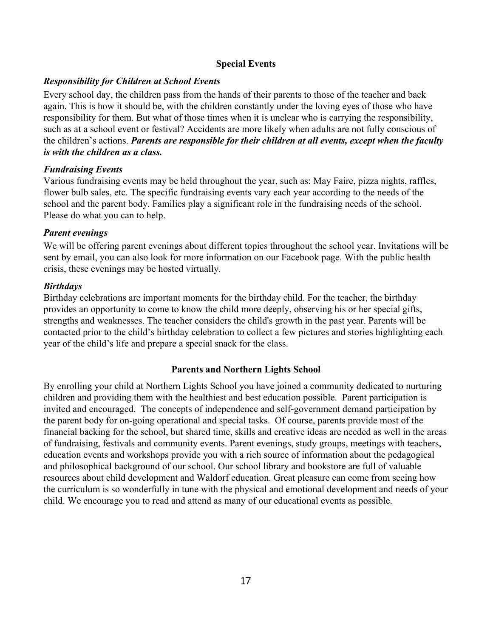## **Special Events**

## *Responsibility for Children at School Events*

Every school day, the children pass from the hands of their parents to those of the teacher and back again. This is how it should be, with the children constantly under the loving eyes of those who have responsibility for them. But what of those times when it is unclear who is carrying the responsibility, such as at a school event or festival? Accidents are more likely when adults are not fully conscious of the children's actions. *Parents are responsible for their children at all events, except when the faculty is with the children as a class.*

## *Fundraising Events*

Various fundraising events may be held throughout the year, such as: May Faire, pizza nights, raffles, flower bulb sales, etc. The specific fundraising events vary each year according to the needs of the school and the parent body. Families play a significant role in the fundraising needs of the school. Please do what you can to help.

## *Parent evenings*

We will be offering parent evenings about different topics throughout the school year. Invitations will be sent by email, you can also look for more information on our Facebook page. With the public health crisis, these evenings may be hosted virtually.

## *Birthdays*

Birthday celebrations are important moments for the birthday child. For the teacher, the birthday provides an opportunity to come to know the child more deeply, observing his or her special gifts, strengths and weaknesses. The teacher considers the child's growth in the past year. Parents will be contacted prior to the child's birthday celebration to collect a few pictures and stories highlighting each year of the child's life and prepare a special snack for the class.

## **Parents and Northern Lights School**

By enrolling your child at Northern Lights School you have joined a community dedicated to nurturing children and providing them with the healthiest and best education possible. Parent participation is invited and encouraged. The concepts of independence and self-government demand participation by the parent body for on-going operational and special tasks. Of course, parents provide most of the financial backing for the school, but shared time, skills and creative ideas are needed as well in the areas of fundraising, festivals and community events. Parent evenings, study groups, meetings with teachers, education events and workshops provide you with a rich source of information about the pedagogical and philosophical background of our school. Our school library and bookstore are full of valuable resources about child development and Waldorf education. Great pleasure can come from seeing how the curriculum is so wonderfully in tune with the physical and emotional development and needs of your child. We encourage you to read and attend as many of our educational events as possible.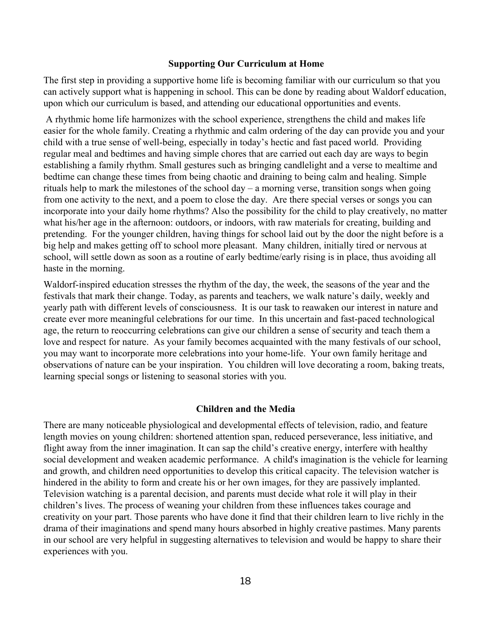#### **Supporting Our Curriculum at Home**

The first step in providing a supportive home life is becoming familiar with our curriculum so that you can actively support what is happening in school. This can be done by reading about Waldorf education, upon which our curriculum is based, and attending our educational opportunities and events.

 A rhythmic home life harmonizes with the school experience, strengthens the child and makes life easier for the whole family. Creating a rhythmic and calm ordering of the day can provide you and your child with a true sense of well-being, especially in today's hectic and fast paced world. Providing regular meal and bedtimes and having simple chores that are carried out each day are ways to begin establishing a family rhythm. Small gestures such as bringing candlelight and a verse to mealtime and bedtime can change these times from being chaotic and draining to being calm and healing. Simple rituals help to mark the milestones of the school day – a morning verse, transition songs when going from one activity to the next, and a poem to close the day. Are there special verses or songs you can incorporate into your daily home rhythms? Also the possibility for the child to play creatively, no matter what his/her age in the afternoon: outdoors, or indoors, with raw materials for creating, building and pretending. For the younger children, having things for school laid out by the door the night before is a big help and makes getting off to school more pleasant. Many children, initially tired or nervous at school, will settle down as soon as a routine of early bedtime/early rising is in place, thus avoiding all haste in the morning.

Waldorf-inspired education stresses the rhythm of the day, the week, the seasons of the year and the festivals that mark their change. Today, as parents and teachers, we walk nature's daily, weekly and yearly path with different levels of consciousness. It is our task to reawaken our interest in nature and create ever more meaningful celebrations for our time. In this uncertain and fast-paced technological age, the return to reoccurring celebrations can give our children a sense of security and teach them a love and respect for nature. As your family becomes acquainted with the many festivals of our school, you may want to incorporate more celebrations into your home-life. Your own family heritage and observations of nature can be your inspiration. You children will love decorating a room, baking treats, learning special songs or listening to seasonal stories with you.

#### **Children and the Media**

There are many noticeable physiological and developmental effects of television, radio, and feature length movies on young children: shortened attention span, reduced perseverance, less initiative, and flight away from the inner imagination. It can sap the child's creative energy, interfere with healthy social development and weaken academic performance. A child's imagination is the vehicle for learning and growth, and children need opportunities to develop this critical capacity. The television watcher is hindered in the ability to form and create his or her own images, for they are passively implanted. Television watching is a parental decision, and parents must decide what role it will play in their children's lives. The process of weaning your children from these influences takes courage and creativity on your part. Those parents who have done it find that their children learn to live richly in the drama of their imaginations and spend many hours absorbed in highly creative pastimes. Many parents in our school are very helpful in suggesting alternatives to television and would be happy to share their experiences with you.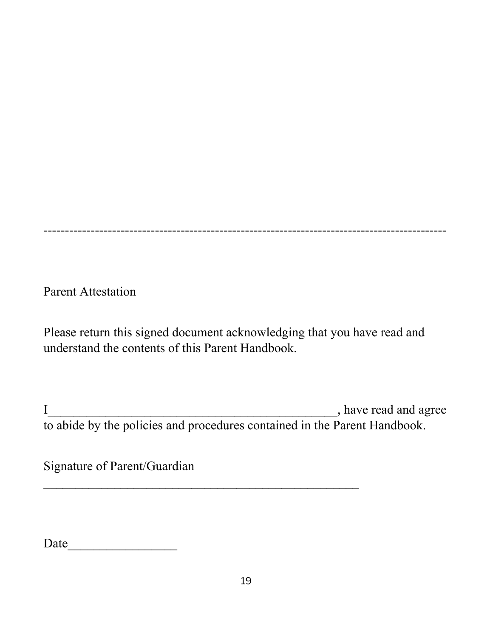----------------------------------------------------------------------------------------------

Parent Attestation

Please return this signed document acknowledging that you have read and understand the contents of this Parent Handbook.

I have read and agree to abide by the policies and procedures contained in the Parent Handbook.

 $\mathcal{L}_\text{max}$  , and the contract of the contract of the contract of the contract of the contract of the contract of the contract of the contract of the contract of the contract of the contract of the contract of the contr

Signature of Parent/Guardian

Date\_\_\_\_\_\_\_\_\_\_\_\_\_\_\_\_\_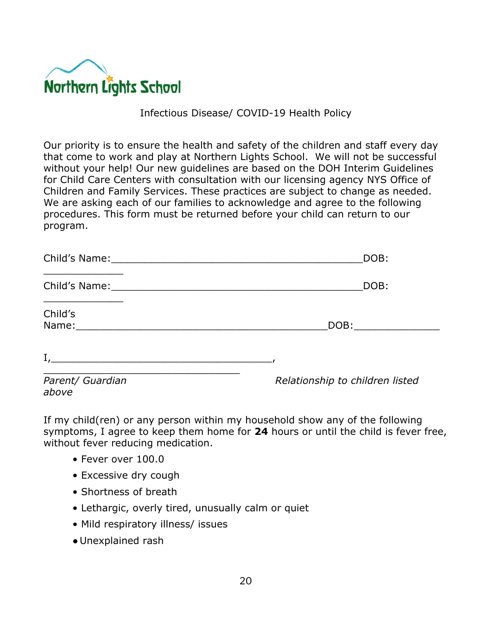

Infectious Disease/ COVID-19 Health Policy

Our priority is to ensure the health and safety of the children and staff every day that come to work and play at Northern Lights School. We will not be successful without your help! Our new guidelines are based on the DOH Interim Guidelines for Child Care Centers with consultation with our licensing agency NYS Office of Children and Family Services. These practices are subject to change as needed. We are asking each of our families to acknowledge and agree to the following procedures. This form must be returned before your child can return to our program.

|                           | DOB:                            |
|---------------------------|---------------------------------|
|                           | DOB:                            |
| Child's                   | DOB: _______________            |
|                           |                                 |
| Parent/ Guardian<br>above | Relationship to children listed |

If my child(ren) or any person within my household show any of the following symptoms, I agree to keep them home for **24** hours or until the child is fever free, without fever reducing medication.

- Fever over 100.0
- Excessive dry cough
- Shortness of breath
- Lethargic, overly tired, unusually calm or quiet
- Mild respiratory illness/ issues
- ●Unexplained rash